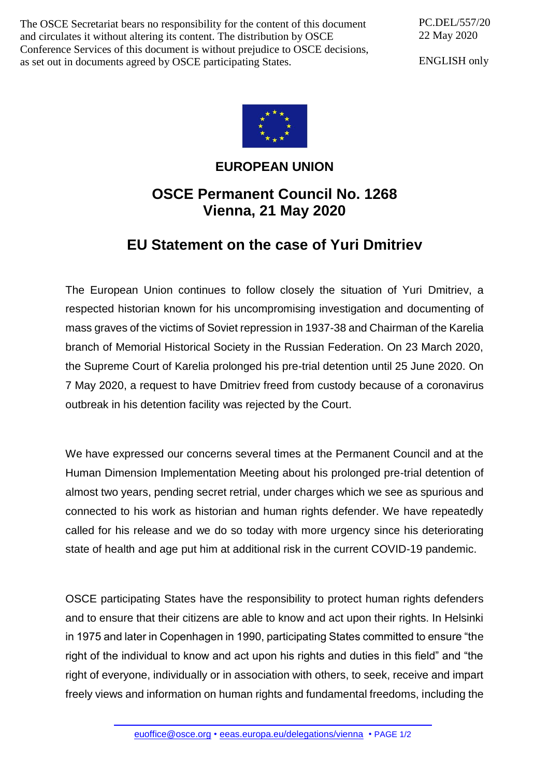The OSCE Secretariat bears no responsibility for the content of this document and circulates it without altering its content. The distribution by OSCE Conference Services of this document is without prejudice to OSCE decisions, as set out in documents agreed by OSCE participating States.

PC.DEL/557/20 22 May 2020

ENGLISH only



## **EUROPEAN UNION**

## **OSCE Permanent Council No. 1268 Vienna, 21 May 2020**

## **EU Statement on the case of Yuri Dmitriev**

The European Union continues to follow closely the situation of Yuri Dmitriev, a respected historian known for his uncompromising investigation and documenting of mass graves of the victims of Soviet repression in 1937-38 and Chairman of the Karelia branch of Memorial Historical Society in the Russian Federation. On 23 March 2020, the Supreme Court of Karelia prolonged his pre-trial detention until 25 June 2020. On 7 May 2020, a request to have Dmitriev freed from custody because of a coronavirus outbreak in his detention facility was rejected by the Court.

We have expressed our concerns several times at the Permanent Council and at the Human Dimension Implementation Meeting about his prolonged pre-trial detention of almost two years, pending secret retrial, under charges which we see as spurious and connected to his work as historian and human rights defender. We have repeatedly called for his release and we do so today with more urgency since his deteriorating state of health and age put him at additional risk in the current COVID-19 pandemic.

OSCE participating States have the responsibility to protect human rights defenders and to ensure that their citizens are able to know and act upon their rights. In Helsinki in 1975 and later in Copenhagen in 1990, participating States committed to ensure "the right of the individual to know and act upon his rights and duties in this field" and "the right of everyone, individually or in association with others, to seek, receive and impart freely views and information on human rights and fundamental freedoms, including the